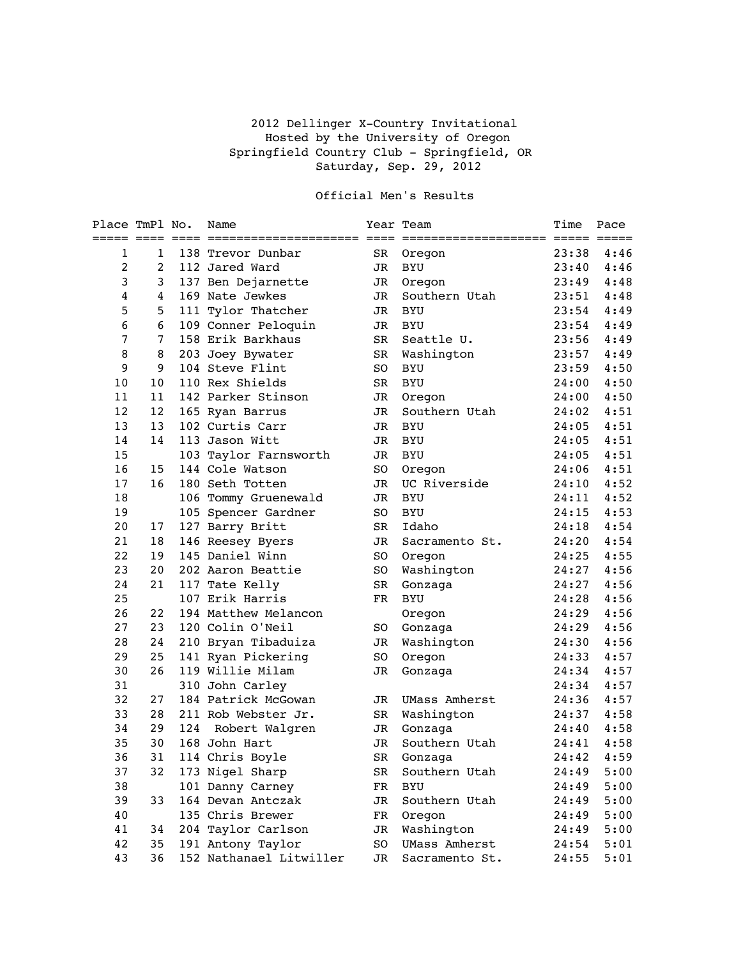## 2012 Dellinger X-Country Invitational Hosted by the University of Oregon Springfield Country Club - Springfield, OR Saturday, Sep. 29, 2012

## Official Men's Results

| Place TmPl No. |                |     | Name                    |    | Year Team<br>==================== ===== ===== | Time  | Pace       |
|----------------|----------------|-----|-------------------------|----|-----------------------------------------------|-------|------------|
| 1              | 1              |     | 138 Trevor Dunbar       | SR | Oregon                                        | 23:38 | 4:46       |
| 2              | $\overline{c}$ |     | 112 Jared Ward          | JR | <b>BYU</b>                                    | 23:40 | 4:46       |
| 3              | 3              |     | 137 Ben Dejarnette      | JR | Oregon                                        | 23:49 | 4:48       |
| $\bf 4$        | 4              |     | 169 Nate Jewkes         | JR | Southern Utah                                 | 23:51 | 4:48       |
| 5              | 5              |     | 111 Tylor Thatcher      | JR | <b>BYU</b>                                    | 23:54 | 4:49       |
| 6              | 6              |     | 109 Conner Peloquin     | JR | <b>BYU</b>                                    | 23:54 | 4:49       |
| $\overline{7}$ | 7              |     | 158 Erik Barkhaus       | SR | Seattle U.                                    | 23:56 | 4:49       |
| 8              | 8              |     | 203 Joey Bywater        | SR | Washington                                    | 23:57 | 4:49       |
| 9              | 9              |     | 104 Steve Flint         | SO | BYU                                           | 23:59 | 4:50       |
| 10             | 10             |     | 110 Rex Shields         | SR | <b>BYU</b>                                    | 24:00 | 4:50       |
| 11             | 11             |     | 142 Parker Stinson      | JR | Oregon                                        | 24:00 | 4:50       |
| 12             | 12             |     | 165 Ryan Barrus         | JR | Southern Utah                                 | 24:02 | 4:51       |
| 13             | 13             |     | 102 Curtis Carr         | JR | <b>BYU</b>                                    | 24:05 | 4:51       |
| 14             | 14             |     | 113 Jason Witt          | JR | BYU                                           | 24:05 | 4:51       |
| 15             |                |     | 103 Taylor Farnsworth   | JR | <b>BYU</b>                                    | 24:05 | 4:51       |
| 16             | 15             |     | 144 Cole Watson         | SO | Oregon                                        | 24:06 | 4:51       |
| 17             | 16             |     | 180 Seth Totten         | JR | UC Riverside                                  | 24:10 | 4:52       |
| 18             |                |     | 106 Tommy Gruenewald    | JR | <b>BYU</b>                                    | 24:11 | 4:52       |
| 19             |                |     | 105 Spencer Gardner     | SO | <b>BYU</b>                                    | 24:15 | 4:53       |
| 20             | 17             |     | 127 Barry Britt         | SR | Idaho                                         | 24:18 | 4:54       |
| 21             | 18             |     | 146 Reesey Byers        | JR | Sacramento St.                                | 24:20 | 4:54       |
| 22             | 19             |     | 145 Daniel Winn         | SO | Oregon                                        | 24:25 | 4:55       |
| 23             | 20             |     | 202 Aaron Beattie       | SO | Washington                                    | 24:27 | 4:56       |
| 24             | 21             |     | 117 Tate Kelly          | SR | Gonzaga                                       | 24:27 | 4:56       |
| 25             |                |     | 107 Erik Harris         | FR | <b>BYU</b>                                    | 24:28 | 4:56       |
| 26             | 22             |     | 194 Matthew Melancon    |    | Oregon                                        | 24:29 | 4:56       |
| 27             | 23             |     | 120 Colin O'Neil        | SO | Gonzaga                                       | 24:29 | 4:56       |
| 28             | 24             |     | 210 Bryan Tibaduiza     | JR | Washington                                    | 24:30 | 4:56       |
| 29             | 25             |     | 141 Ryan Pickering      | SO | Oregon                                        | 24:33 | 4:57       |
| 30             | 26             |     | 119 Willie Milam        | JR | Gonzaga                                       | 24:34 | 4:57       |
| 31             |                |     | 310 John Carley         |    |                                               | 24:34 | 4:57       |
| 32             | 27             |     | 184 Patrick McGowan     | JR | UMass Amherst                                 | 24:36 | 4:57       |
| 33             | 28             |     | 211 Rob Webster Jr.     | SR | Washington                                    | 24:37 | 4:58       |
| 34             | 29             | 124 | Robert Walgren          | JR | Gonzaga                                       | 24:40 | 4:58       |
| 35             | 30             |     | 168 John Hart           | JR | Southern Utah                                 | 24:41 | 4:58       |
| 36             |                |     | 31 114 Chris Boyle      | SR | Gonzaga                                       |       | 24:42 4:59 |
| 37             | 32             |     | 173 Nigel Sharp         | SR | Southern Utah                                 | 24:49 | 5:00       |
| 38             |                |     | 101 Danny Carney        | FR | <b>BYU</b>                                    | 24:49 | 5:00       |
| 39             | 33             |     | 164 Devan Antczak       | JR | Southern Utah                                 | 24:49 | 5:00       |
| 40             |                |     | 135 Chris Brewer        | FR | Oregon                                        | 24:49 | 5:00       |
| 41             | 34             |     | 204 Taylor Carlson      | JR | Washington                                    | 24:49 | 5:00       |
| 42             | 35             |     | 191 Antony Taylor       | SO | <b>UMass Amherst</b>                          | 24:54 | 5:01       |
| 43             | 36             |     | 152 Nathanael Litwiller | JR | Sacramento St.                                | 24:55 | 5:01       |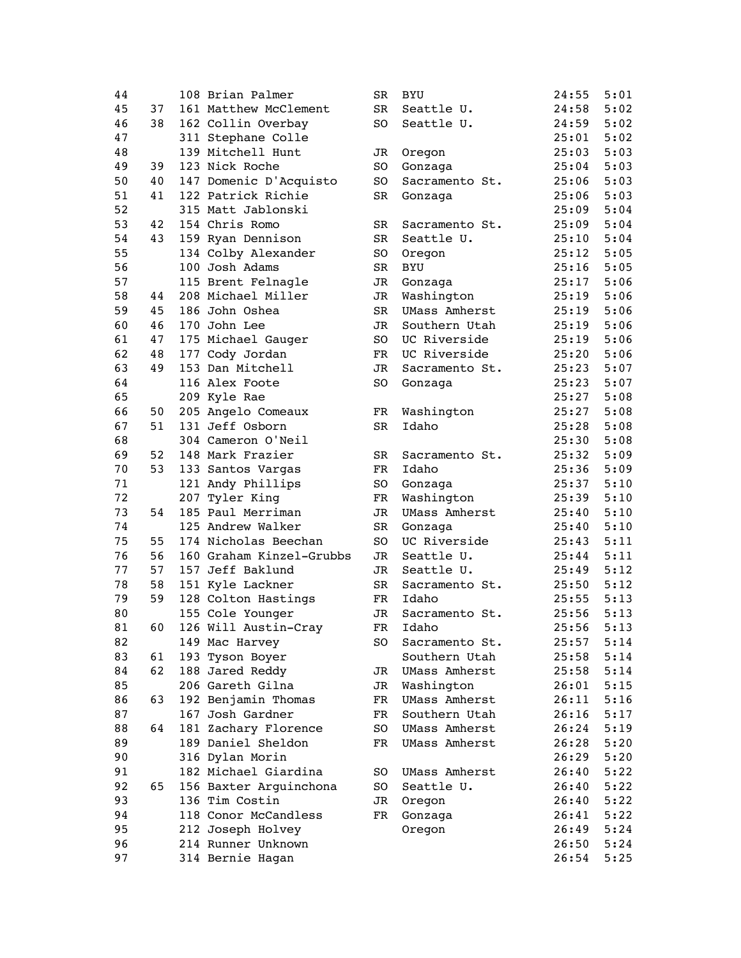| 44 |    | 108 Brian Palmer                       | SR          | <b>BYU</b>           | 24:55 | 5:01 |
|----|----|----------------------------------------|-------------|----------------------|-------|------|
| 45 | 37 | 161 Matthew McClement                  | SR          | Seattle U.           | 24:58 | 5:02 |
| 46 | 38 | 162 Collin Overbay                     | SO          | Seattle U.           | 24:59 | 5:02 |
| 47 |    | 311 Stephane Colle                     |             |                      | 25:01 | 5:02 |
| 48 |    | 139 Mitchell Hunt                      | JR          | Oregon               | 25:03 | 5:03 |
| 49 | 39 | 123 Nick Roche                         | SO.         | Gonzaga              | 25:04 | 5:03 |
| 50 | 40 | 147 Domenic D'Acquisto                 | SO          | Sacramento St.       | 25:06 | 5:03 |
| 51 | 41 | 122 Patrick Richie                     | SR          | Gonzaga              | 25:06 | 5:03 |
| 52 |    | 315 Matt Jablonski                     |             |                      | 25:09 | 5:04 |
| 53 | 42 | 154 Chris Romo                         | SR          | Sacramento St.       | 25:09 | 5:04 |
| 54 | 43 | 159 Ryan Dennison                      | SR          | Seattle U.           | 25:10 | 5:04 |
| 55 |    | 134 Colby Alexander                    | SO          | Oregon               | 25:12 | 5:05 |
| 56 |    | 100 Josh Adams                         | SR          | <b>BYU</b>           | 25:16 | 5:05 |
| 57 |    | 115 Brent Felnagle                     | JR          | Gonzaga              | 25:17 | 5:06 |
| 58 | 44 | 208 Michael Miller                     | JR          | Washington           | 25:19 | 5:06 |
| 59 | 45 | 186 John Oshea                         | SR          | <b>UMass Amherst</b> | 25:19 | 5:06 |
| 60 | 46 | 170 John Lee                           | JR          | Southern Utah        | 25:19 | 5:06 |
| 61 | 47 | 175 Michael Gauger                     | SO          | UC Riverside         | 25:19 | 5:06 |
| 62 | 48 | 177 Cody Jordan                        | FR          | UC Riverside         | 25:20 | 5:06 |
| 63 | 49 | 153 Dan Mitchell                       | JR          | Sacramento St.       | 25:23 | 5:07 |
| 64 |    | 116 Alex Foote                         | SO          | Gonzaga              | 25:23 | 5:07 |
| 65 |    | 209 Kyle Rae                           |             |                      | 25:27 | 5:08 |
| 66 | 50 | 205 Angelo Comeaux                     | FR          | Washington           | 25:27 | 5:08 |
| 67 | 51 | 131 Jeff Osborn                        | SR          | Idaho                | 25:28 | 5:08 |
| 68 |    | 304 Cameron O'Neil                     |             |                      | 25:30 | 5:08 |
| 69 | 52 | 148 Mark Frazier                       | SR          | Sacramento St.       | 25:32 | 5:09 |
| 70 | 53 | 133 Santos Vargas                      | FR          | Idaho                | 25:36 | 5:09 |
|    |    |                                        |             |                      |       |      |
| 71 |    | 121 Andy Phillips                      | SO          | Gonzaga              | 25:37 | 5:10 |
| 72 | 54 | 207 Tyler King                         | FR          | Washington           | 25:39 | 5:10 |
| 73 |    | 185 Paul Merriman<br>125 Andrew Walker | JR          | <b>UMass Amherst</b> | 25:40 | 5:10 |
| 74 |    |                                        | SR          | Gonzaga              | 25:40 | 5:10 |
| 75 | 55 | 174 Nicholas Beechan                   | SO          | UC Riverside         | 25:43 | 5:11 |
| 76 | 56 | 160 Graham Kinzel-Grubbs               | JR          | Seattle U.           | 25:44 | 5:11 |
| 77 | 57 | 157 Jeff Baklund                       | JR          | Seattle U.           | 25:49 | 5:12 |
| 78 | 58 | 151 Kyle Lackner                       | SR          | Sacramento St.       | 25:50 | 5:12 |
| 79 | 59 | 128 Colton Hastings                    | $_{\rm FR}$ | Idaho                | 25:55 | 5:13 |
| 80 |    | 155 Cole Younger                       | JR          | Sacramento St.       | 25:56 | 5:13 |
| 81 | 60 | 126 Will Austin-Cray                   | FR          | Idaho                | 25:56 | 5:13 |
| 82 |    | 149 Mac Harvey                         | SO          | Sacramento St.       | 25:57 | 5:14 |
| 83 | 61 | 193 Tyson Boyer                        |             | Southern Utah        | 25:58 | 5:14 |
| 84 | 62 | 188 Jared Reddy                        | JR          | <b>UMass Amherst</b> | 25:58 | 5:14 |
| 85 |    | 206 Gareth Gilna                       | JR          | Washington           | 26:01 | 5:15 |
| 86 | 63 | 192 Benjamin Thomas                    | FR          | UMass Amherst        | 26:11 | 5:16 |
| 87 |    | 167 Josh Gardner                       | FR          | Southern Utah        | 26:16 | 5:17 |
| 88 | 64 | 181 Zachary Florence                   | SO          | <b>UMass Amherst</b> | 26:24 | 5:19 |
| 89 |    | 189 Daniel Sheldon                     | FR          | UMass Amherst        | 26:28 | 5:20 |
| 90 |    | 316 Dylan Morin                        |             |                      | 26:29 | 5:20 |
| 91 |    | 182 Michael Giardina                   | SO          | <b>UMass Amherst</b> | 26:40 | 5:22 |
| 92 | 65 | 156 Baxter Arquinchona                 | SO          | Seattle U.           | 26:40 | 5:22 |
| 93 |    | 136 Tim Costin                         | JR          | Oregon               | 26:40 | 5:22 |
| 94 |    | 118 Conor McCandless                   | FR          | Gonzaga              | 26:41 | 5:22 |
| 95 |    | 212 Joseph Holvey                      |             | Oregon               | 26:49 | 5:24 |
| 96 |    | 214 Runner Unknown                     |             |                      | 26:50 | 5:24 |
| 97 |    | 314 Bernie Hagan                       |             |                      | 26:54 | 5:25 |
|    |    |                                        |             |                      |       |      |

| 44 |    | 108 Brian Palmer         | SR | BYU                  | 24:55 | 5:01         |
|----|----|--------------------------|----|----------------------|-------|--------------|
| 45 | 37 | 161 Matthew McClement    | SR | Seattle U.           | 24:58 | 5:02         |
| 46 | 38 | 162 Collin Overbay       | SO | Seattle U.           | 24:59 | 5:02         |
| 47 |    | 311 Stephane Colle       |    |                      | 25:01 | 5:02         |
| 48 |    | 139 Mitchell Hunt        | JR | Oregon               | 25:03 | 5:03         |
| 49 | 39 | 123 Nick Roche           | SO | Gonzaga              | 25:04 | 5:03         |
| 50 | 40 | 147 Domenic D'Acquisto   | SO | Sacramento St.       | 25:06 | 5:03         |
| 51 | 41 | 122 Patrick Richie       | SR | Gonzaqa              | 25:06 | 5:03         |
| 52 |    | 315 Matt Jablonski       |    |                      | 25:09 | 5:04         |
| 53 | 42 | 154 Chris Romo           | SR | Sacramento St.       | 25:09 | 5:04         |
| 54 | 43 | 159 Ryan Dennison        | SR | Seattle U.           | 25:10 | 5:04         |
| 55 |    | 134 Colby Alexander      | SO | Oregon               | 25:12 | 5:05         |
| 56 |    | 100 Josh Adams           | SR | <b>BYU</b>           | 25:16 | 5:05         |
| 57 |    | 115 Brent Felnagle       | JR | Gonzaga              | 25:17 | 5:06         |
| 58 | 44 | 208 Michael Miller       | JR | Washington           | 25:19 | 5:06         |
| 59 | 45 | 186 John Oshea           | SR | <b>UMass Amherst</b> | 25:19 | 5:06         |
| 60 | 46 | 170 John Lee             | JR | Southern Utah        | 25:19 | 5:06         |
| 61 | 47 | 175 Michael Gauger       | SO | UC Riverside         | 25:19 | 5:06         |
| 62 | 48 | 177 Cody Jordan          | FR | UC Riverside         | 25:20 | 5:06         |
| 63 | 49 | 153 Dan Mitchell         | JR | Sacramento St.       | 25:23 | 5:07         |
| 64 |    | 116 Alex Foote           | SO | Gonzaga              | 25:23 | 5:07         |
| 65 |    | 209 Kyle Rae             |    |                      | 25:27 | 5:08         |
| 66 | 50 | 205 Angelo Comeaux       | FR | Washington           | 25:27 | 5:08         |
| 67 | 51 | 131 Jeff Osborn          | SR | Idaho                | 25:28 | 5:08         |
| 68 |    | 304 Cameron O'Neil       |    |                      | 25:30 | 5:08         |
| 69 | 52 | 148 Mark Frazier         | SR | Sacramento St.       | 25:32 | 5:09         |
| 70 | 53 | 133 Santos Vargas        | FR | Idaho                | 25:36 | 5:09         |
| 71 |    | 121 Andy Phillips        | SO | Gonzaga              | 25:37 | 5:10         |
| 72 |    | 207 Tyler King           | FR | Washington           | 25:39 | 5:10         |
| 73 | 54 | 185 Paul Merriman        | JR | UMass Amherst        | 25:40 | 5:10         |
| 74 |    | 125 Andrew Walker        | SR | Gonzaga              | 25:40 | 5:10         |
| 75 | 55 | 174 Nicholas Beechan     | SO | UC Riverside         | 25:43 | 5:11         |
| 76 | 56 | 160 Graham Kinzel-Grubbs | JR | Seattle U.           | 25:44 | 5:11         |
| 77 | 57 | 157 Jeff Baklund         | JR | Seattle U.           | 25:49 | 5:12         |
| 78 | 58 | 151 Kyle Lackner         | SR | Sacramento St.       | 25:50 | 5:12         |
| 79 | 59 | 128 Colton Hastings      | FR | Idaho                | 25:55 | 5:13         |
| 80 |    | 155 Cole Younger         | JR | Sacramento St.       | 25:56 | 5:13         |
| 81 | 60 | 126 Will Austin-Cray     | FR | Idaho                | 25:56 | 5:13         |
| 82 |    | 149 Mac Harvey           | SO | Sacramento St.       | 25:57 | 5:14         |
| 83 | 61 | 193 Tyson Boyer          |    | Southern Utah        | 25:58 | 5:14         |
| 84 | 62 | 188 Jared Reddy          | JR | <b>UMass Amherst</b> | 25:58 | 5:14         |
| 85 |    | 206 Gareth Gilna         | JR | Washington           | 26:01 | 5:15         |
| 86 | 63 | 192 Benjamin Thomas      | FR | UMass Amherst        | 26:11 | 5:16         |
| 87 |    | 167 Josh Gardner         | FR | Southern Utah        | 26:16 | 5:17         |
| 88 | 64 | 181 Zachary Florence     | SO | <b>UMass Amherst</b> | 26:24 | 5:19         |
| 89 |    | 189 Daniel Sheldon       | FR | UMass Amherst        | 26:28 | 5:20         |
| 90 |    | 316 Dylan Morin          |    |                      | 26:29 | 5:20         |
| 91 |    | 182 Michael Giardina     | SO | UMass Amherst        | 26:40 | 5:22         |
| 92 | 65 | 156 Baxter Arguinchona   | SO | Seattle U.           | 26:40 | 5:22         |
| 93 |    | 136 Tim Costin           | JR | Oregon               | 26:40 | 5:22         |
| 94 |    | 118 Conor McCandless     | FR | Gonzaga              | 26:41 | 5:22         |
| 95 |    | 212 Joseph Holvey        |    | Oregon               | 26:49 | 5:24         |
| 96 |    | 214 Runner Unknown       |    |                      | 26:50 | 5:24         |
| 07 |    | $214$ Dornia Hogan       |    |                      | 26.51 | $F \cdot 2F$ |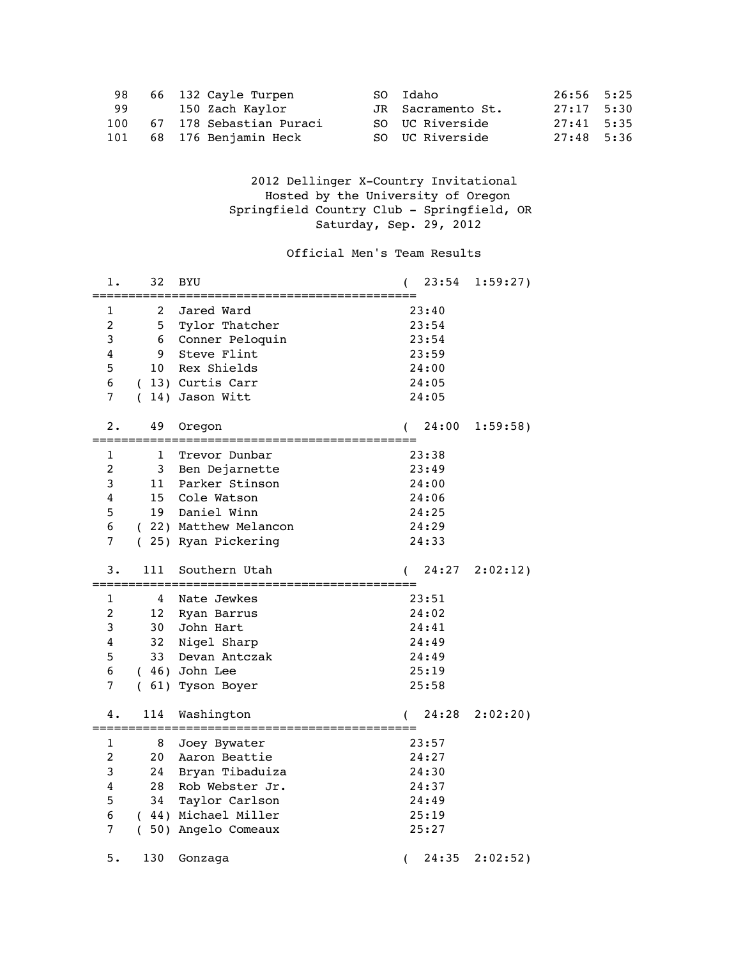| 98  | 66 132 Cayle Turpen      | SO Idaho          | 26:56 5:25   |  |
|-----|--------------------------|-------------------|--------------|--|
| 99  | 150 Zach Kaylor          | JR Sacramento St. | 27:17 5:30   |  |
| 100 | 67 178 Sebastian Puraci  | SO UC Riverside   | $27:41$ 5:35 |  |
|     | 101 68 176 Benjamin Heck | SO UC Riverside   | 27:48 5:36   |  |

 2012 Dellinger X-Country Invitational Hosted by the University of Oregon Springfield Country Club - Springfield, OR Saturday, Sep. 29, 2012

## Official Men's Team Results

| 1.            | 32  | BYU                   | 23:54                     | 1:59:27)    |
|---------------|-----|-----------------------|---------------------------|-------------|
| 1             | 2   | Jared Ward            | :===============<br>23:40 |             |
| $\mathcal{L}$ | 5   | Tylor Thatcher        | 23:54                     |             |
| 3             | 6   | Conner Peloquin       | 23:54                     |             |
| 4             | 9   | Steve Flint           | 23:59                     |             |
| 5             | 10  | Rex Shields           | 24:00                     |             |
| 6             |     | (13) Curtis Carr      | 24:05                     |             |
| 7             | (   | 14) Jason Witt        | 24:05                     |             |
|               |     |                       |                           |             |
| 2.            | 49  | Oregon                | 24:00                     | $1:59:58$ ) |
|               |     |                       |                           |             |
| 1             | 1   | Trevor Dunbar         | 23:38                     |             |
| 2             | 3   | Ben Dejarnette        | 23:49                     |             |
| 3             | 11  | Parker Stinson        | 24:00                     |             |
| 4             | 15  | Cole Watson           | 24:06                     |             |
| 5             | 19  | Daniel Winn           | 24:25                     |             |
| 6             |     | (22) Matthew Melancon | 24:29                     |             |
| 7             |     | (25) Ryan Pickering   | 24:33                     |             |
| з.            | 111 | Southern Utah         | 24:27                     | 2:02:12)    |
| 1             | 4   | Nate Jewkes           | 23:51                     |             |
| 2             | 12  | Ryan Barrus           | 24:02                     |             |
| 3             | 30  | John Hart             | 24:41                     |             |
| 4             | 32  | Nigel Sharp           | 24:49                     |             |
| 5             | 33  | Devan Antczak         | 24:49                     |             |
| 6             |     | $(46)$ John Lee       | 25:19                     |             |
| 7             | (   | 61) Tyson Boyer       | 25:58                     |             |
|               |     |                       |                           |             |
| 4.            | 114 | Washington            | 24:28                     | 2:02:20)    |
| 1             | 8   | Joey Bywater          | 23:57                     |             |
| 2             | 20  | Aaron Beattie         | 24:27                     |             |
| 3             | 24  | Bryan Tibaduiza       | 24:30                     |             |
| 4             | 28  | Rob Webster Jr.       | 24:37                     |             |
| 5             | 34  | Taylor Carlson        | 24:49                     |             |
| 6             |     | ( 44) Michael Miller  | 25:19                     |             |
| 7             | (   | 50) Angelo Comeaux    | 25:27                     |             |
|               |     |                       |                           |             |
| 5.            | 130 | Gonzaga               | 24:35<br>(                | 2:02:52)    |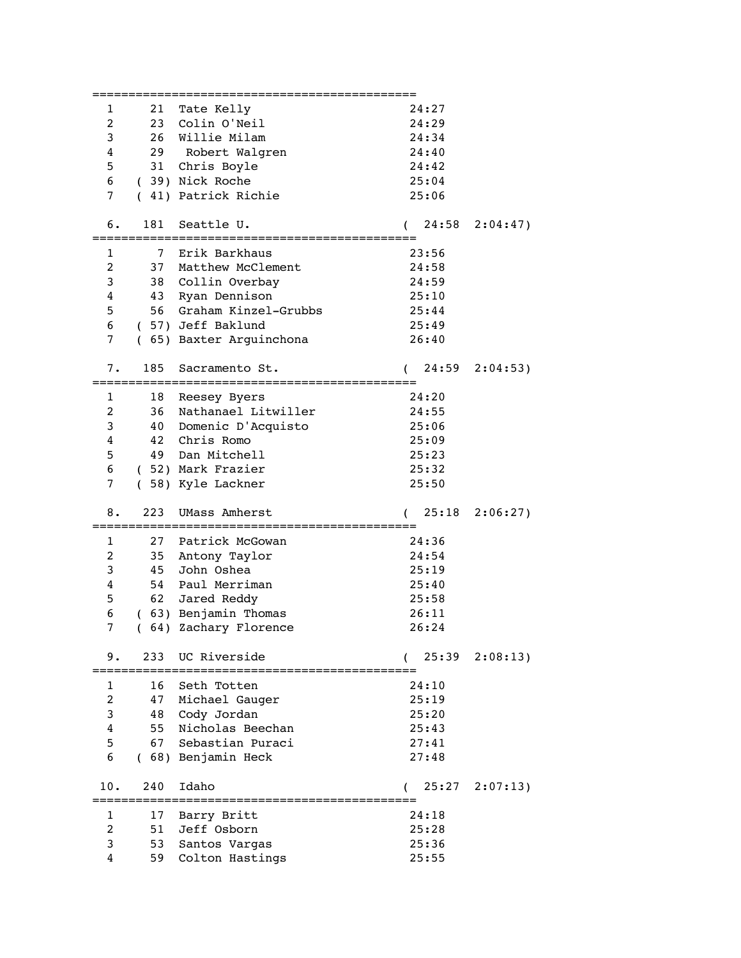|                |                | :================       |                   |                   |
|----------------|----------------|-------------------------|-------------------|-------------------|
| 1              |                | 21 Tate Kelly           | 24:27             |                   |
| 2              |                | 23 Colin O'Neil         | 24:29             |                   |
| 3              |                | 26 Willie Milam         | 24:34             |                   |
|                |                |                         | 24:40             |                   |
| 4              |                | 29 Robert Walgren       |                   |                   |
| 5              |                | 31 Chris Boyle          | 24:42             |                   |
| 6              |                | (39) Nick Roche         | 25:04             |                   |
| 7              |                | (41) Patrick Richie     | 25:06             |                   |
|                |                | Seattle U.              |                   |                   |
| б.             | 181            |                         | 24:58<br>$\left($ | 2:04:47)          |
| 1              | $\overline{7}$ | Erik Barkhaus           | 23:56             |                   |
| 2              | 37             | Matthew McClement       | 24:58             |                   |
|                |                |                         |                   |                   |
| 3              |                | 38 Collin Overbay       | 24:59             |                   |
| 4              | 43             | Ryan Dennison           | 25:10             |                   |
| 5              |                | 56 Graham Kinzel-Grubbs | 25:44             |                   |
| 6              |                | ( 57) Jeff Baklund      | 25:49             |                   |
| 7              |                | (65) Baxter Arguinchona | 26:40             |                   |
|                |                |                         |                   |                   |
| 7.             | 185            | Sacramento St.          | 24:59             | 2:04:53)          |
|                |                |                         |                   |                   |
| 1              | 18             | Reesey Byers            | 24:20             |                   |
| 2              | 36             | Nathanael Litwiller     | 24:55             |                   |
| 3              | 40             | Domenic D'Acquisto      | 25:06             |                   |
| 4              | 42             | Chris Romo              | 25:09             |                   |
| 5              | 49             | Dan Mitchell            | 25:23             |                   |
| 6              |                | (52) Mark Frazier       | 25:32             |                   |
| 7              |                | (58) Kyle Lackner       | 25:50             |                   |
|                |                |                         |                   |                   |
| 8.             | 223            | UMass Amherst           | 25:18             | 2:06:27           |
|                |                | :===========            |                   |                   |
| 1              | 27             | Patrick McGowan         | 24:36             |                   |
| 2              |                | 35 Antony Taylor        | 24:54             |                   |
| 3              | 45             | John Oshea              | 25:19             |                   |
|                |                |                         |                   |                   |
| 4              | 54             | Paul Merriman           | 25:40             |                   |
| 5              | 62             | Jared Reddy             | 25:58             |                   |
| 6              |                | (63) Benjamin Thomas    | 26:11             |                   |
| 7              | 64)            | Zachary Florence        | 26:24             |                   |
|                |                |                         |                   |                   |
| 9.             |                | 233 UC Riverside        |                   | $25:39$ $2:08:13$ |
|                | 16             | Seth Totten             | 24:10             |                   |
| 1              |                |                         |                   |                   |
| $\overline{2}$ | 47             | Michael Gauger          | 25:19             |                   |
| 3              | 48             | Cody Jordan             | 25:20             |                   |
| 4              | 55             | Nicholas Beechan        | 25:43             |                   |
| 5              | 67             | Sebastian Puraci        | 27:41             |                   |
| 6              |                | (68) Benjamin Heck      | 27:48             |                   |
|                |                |                         |                   |                   |
| 10.            | 240            | Idaho                   | 25:27             | 2:07:13)          |
|                |                | :====================   |                   |                   |
|                |                |                         |                   |                   |
| 1              | 17             | Barry Britt             | 24:18             |                   |
| 2              | 51             | Jeff Osborn             | 25:28             |                   |
| 3              | 53             | Santos Vargas           | 25:36             |                   |